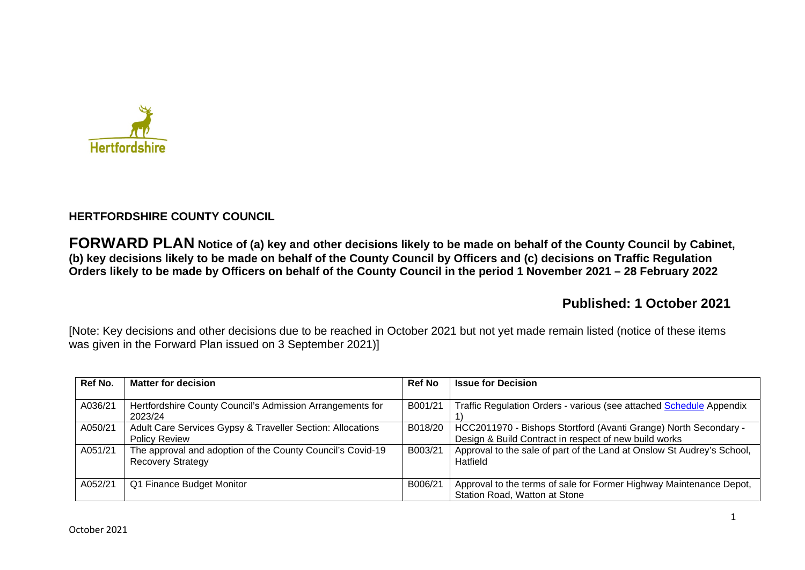

# **HERTFORDSHIRE COUNTY COUNCIL**

**FORWARD PLAN Notice of (a) key and other decisions likely to be made on behalf of the County Council by Cabinet, (b) key decisions likely to be made on behalf of the County Council by Officers and (c) decisions on Traffic Regulation Orders likely to be made by Officers on behalf of the County Council in the period 1 November 2021 – 28 February 2022** 

# **Published: 1 October 2021**

[Note: Key decisions and other decisions due to be reached in October 2021 but not yet made remain listed (notice of these items was given in the Forward Plan issued on 3 September 2021)]

| Ref No. | <b>Matter for decision</b>                                                             | <b>Ref No</b> | <b>Issue for Decision</b>                                                                                                 |
|---------|----------------------------------------------------------------------------------------|---------------|---------------------------------------------------------------------------------------------------------------------------|
| A036/21 | Hertfordshire County Council's Admission Arrangements for<br>2023/24                   | B001/21       | Traffic Regulation Orders - various (see attached Schedule Appendix                                                       |
| A050/21 | Adult Care Services Gypsy & Traveller Section: Allocations<br><b>Policy Review</b>     | B018/20       | HCC2011970 - Bishops Stortford (Avanti Grange) North Secondary -<br>Design & Build Contract in respect of new build works |
| A051/21 | The approval and adoption of the County Council's Covid-19<br><b>Recovery Strategy</b> | B003/21       | Approval to the sale of part of the Land at Onslow St Audrey's School,<br>Hatfield                                        |
| A052/21 | Q1 Finance Budget Monitor                                                              | B006/21       | Approval to the terms of sale for Former Highway Maintenance Depot,<br>Station Road, Watton at Stone                      |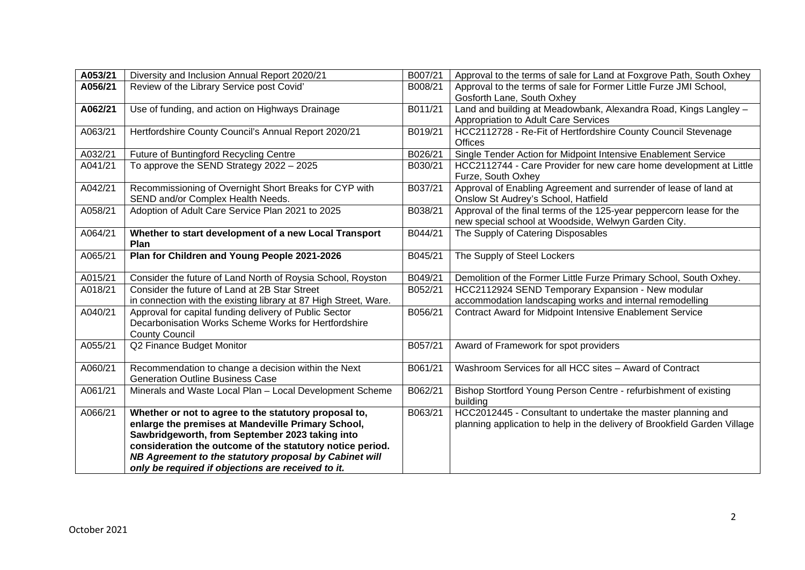| A053/21 | Diversity and Inclusion Annual Report 2020/21                                                                                                                                                                                                                                                                                               | B007/21 | Approval to the terms of sale for Land at Foxgrove Path, South Oxhey                                                                      |
|---------|---------------------------------------------------------------------------------------------------------------------------------------------------------------------------------------------------------------------------------------------------------------------------------------------------------------------------------------------|---------|-------------------------------------------------------------------------------------------------------------------------------------------|
| A056/21 | Review of the Library Service post Covid'                                                                                                                                                                                                                                                                                                   | B008/21 | Approval to the terms of sale for Former Little Furze JMI School,<br>Gosforth Lane, South Oxhey                                           |
| A062/21 | Use of funding, and action on Highways Drainage                                                                                                                                                                                                                                                                                             | B011/21 | Land and building at Meadowbank, Alexandra Road, Kings Langley -<br>Appropriation to Adult Care Services                                  |
| A063/21 | Hertfordshire County Council's Annual Report 2020/21                                                                                                                                                                                                                                                                                        | B019/21 | HCC2112728 - Re-Fit of Hertfordshire County Council Stevenage<br><b>Offices</b>                                                           |
| A032/21 | Future of Buntingford Recycling Centre                                                                                                                                                                                                                                                                                                      | B026/21 | Single Tender Action for Midpoint Intensive Enablement Service                                                                            |
| A041/21 | To approve the SEND Strategy $2022 - 2025$                                                                                                                                                                                                                                                                                                  | B030/21 | HCC2112744 - Care Provider for new care home development at Little<br>Furze, South Oxhey                                                  |
| A042/21 | Recommissioning of Overnight Short Breaks for CYP with<br>SEND and/or Complex Health Needs.                                                                                                                                                                                                                                                 | B037/21 | Approval of Enabling Agreement and surrender of lease of land at<br>Onslow St Audrey's School, Hatfield                                   |
| A058/21 | Adoption of Adult Care Service Plan 2021 to 2025                                                                                                                                                                                                                                                                                            | B038/21 | Approval of the final terms of the 125-year peppercorn lease for the<br>new special school at Woodside, Welwyn Garden City.               |
| A064/21 | Whether to start development of a new Local Transport<br>Plan                                                                                                                                                                                                                                                                               | B044/21 | The Supply of Catering Disposables                                                                                                        |
| A065/21 | Plan for Children and Young People 2021-2026                                                                                                                                                                                                                                                                                                | B045/21 | The Supply of Steel Lockers                                                                                                               |
| A015/21 | Consider the future of Land North of Roysia School, Royston                                                                                                                                                                                                                                                                                 | B049/21 | Demolition of the Former Little Furze Primary School, South Oxhey.                                                                        |
| A018/21 | Consider the future of Land at 2B Star Street<br>in connection with the existing library at 87 High Street, Ware.                                                                                                                                                                                                                           | B052/21 | HCC2112924 SEND Temporary Expansion - New modular<br>accommodation landscaping works and internal remodelling                             |
| A040/21 | Approval for capital funding delivery of Public Sector<br>Decarbonisation Works Scheme Works for Hertfordshire<br><b>County Council</b>                                                                                                                                                                                                     | B056/21 | <b>Contract Award for Midpoint Intensive Enablement Service</b>                                                                           |
| A055/21 | Q2 Finance Budget Monitor                                                                                                                                                                                                                                                                                                                   | B057/21 | Award of Framework for spot providers                                                                                                     |
| A060/21 | Recommendation to change a decision within the Next<br><b>Generation Outline Business Case</b>                                                                                                                                                                                                                                              | B061/21 | Washroom Services for all HCC sites - Award of Contract                                                                                   |
| A061/21 | Minerals and Waste Local Plan - Local Development Scheme                                                                                                                                                                                                                                                                                    | B062/21 | Bishop Stortford Young Person Centre - refurbishment of existing<br>building                                                              |
| A066/21 | Whether or not to agree to the statutory proposal to,<br>enlarge the premises at Mandeville Primary School,<br>Sawbridgeworth, from September 2023 taking into<br>consideration the outcome of the statutory notice period.<br>NB Agreement to the statutory proposal by Cabinet will<br>only be required if objections are received to it. | B063/21 | HCC2012445 - Consultant to undertake the master planning and<br>planning application to help in the delivery of Brookfield Garden Village |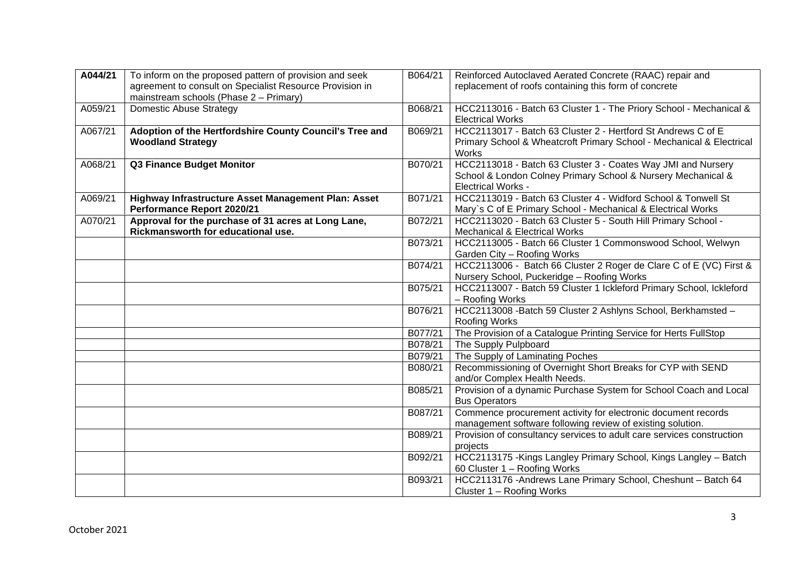| A044/21 | To inform on the proposed pattern of provision and seek  | B064/21 | Reinforced Autoclaved Aerated Concrete (RAAC) repair and              |
|---------|----------------------------------------------------------|---------|-----------------------------------------------------------------------|
|         | agreement to consult on Specialist Resource Provision in |         | replacement of roofs containing this form of concrete                 |
|         | mainstream schools (Phase 2 - Primary)                   |         |                                                                       |
| A059/21 | <b>Domestic Abuse Strategy</b>                           | B068/21 | HCC2113016 - Batch 63 Cluster 1 - The Priory School - Mechanical &    |
|         |                                                          |         | <b>Electrical Works</b>                                               |
| A067/21 | Adoption of the Hertfordshire County Council's Tree and  | B069/21 | HCC2113017 - Batch 63 Cluster 2 - Hertford St Andrews C of E          |
|         | <b>Woodland Strategy</b>                                 |         | Primary School & Wheatcroft Primary School - Mechanical & Electrical  |
|         |                                                          |         | Works                                                                 |
| A068/21 | <b>Q3 Finance Budget Monitor</b>                         | B070/21 | HCC2113018 - Batch 63 Cluster 3 - Coates Way JMI and Nursery          |
|         |                                                          |         | School & London Colney Primary School & Nursery Mechanical &          |
|         |                                                          |         | <b>Electrical Works -</b>                                             |
| A069/21 | Highway Infrastructure Asset Management Plan: Asset      | B071/21 | HCC2113019 - Batch 63 Cluster 4 - Widford School & Tonwell St         |
|         | Performance Report 2020/21                               |         | Mary's C of E Primary School - Mechanical & Electrical Works          |
| A070/21 | Approval for the purchase of 31 acres at Long Lane,      | B072/21 | HCC2113020 - Batch 63 Cluster 5 - South Hill Primary School -         |
|         | Rickmansworth for educational use.                       |         | Mechanical & Electrical Works                                         |
|         |                                                          | B073/21 | HCC2113005 - Batch 66 Cluster 1 Commonswood School, Welwyn            |
|         |                                                          |         | Garden City - Roofing Works                                           |
|         |                                                          | B074/21 | HCC2113006 - Batch 66 Cluster 2 Roger de Clare C of E (VC) First &    |
|         |                                                          |         | Nursery School, Puckeridge - Roofing Works                            |
|         |                                                          | B075/21 | HCC2113007 - Batch 59 Cluster 1 Ickleford Primary School, Ickleford   |
|         |                                                          |         | - Roofing Works                                                       |
|         |                                                          | B076/21 | HCC2113008 - Batch 59 Cluster 2 Ashlyns School, Berkhamsted -         |
|         |                                                          |         | Roofing Works                                                         |
|         |                                                          | B077/21 | The Provision of a Catalogue Printing Service for Herts FullStop      |
|         |                                                          | B078/21 | The Supply Pulpboard                                                  |
|         |                                                          | B079/21 | The Supply of Laminating Poches                                       |
|         |                                                          | B080/21 | Recommissioning of Overnight Short Breaks for CYP with SEND           |
|         |                                                          |         | and/or Complex Health Needs.                                          |
|         |                                                          | B085/21 | Provision of a dynamic Purchase System for School Coach and Local     |
|         |                                                          |         | <b>Bus Operators</b>                                                  |
|         |                                                          | B087/21 | Commence procurement activity for electronic document records         |
|         |                                                          |         | management software following review of existing solution.            |
|         |                                                          | B089/21 | Provision of consultancy services to adult care services construction |
|         |                                                          |         | projects                                                              |
|         |                                                          | B092/21 | HCC2113175 - Kings Langley Primary School, Kings Langley - Batch      |
|         |                                                          |         | 60 Cluster 1 - Roofing Works                                          |
|         |                                                          | B093/21 | HCC2113176 - Andrews Lane Primary School, Cheshunt - Batch 64         |
|         |                                                          |         | Cluster 1 - Roofing Works                                             |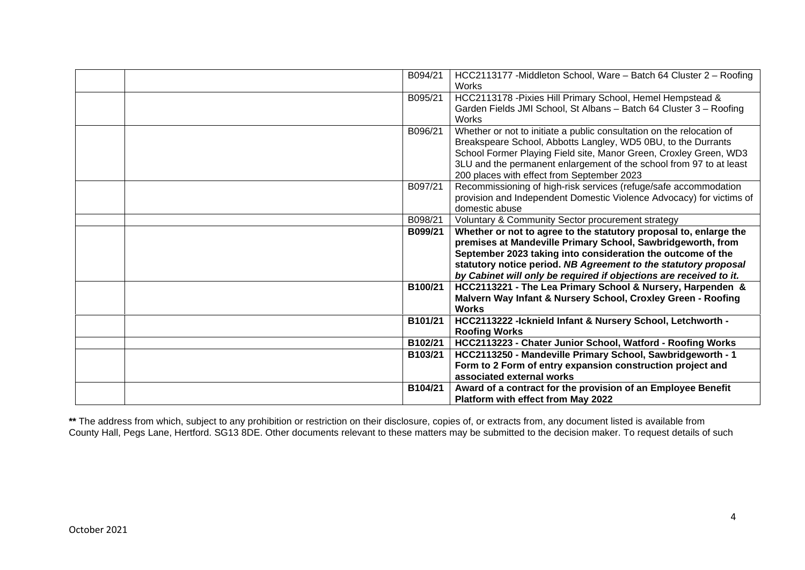| B094/21<br>HCC2113177 - Middleton School, Ware - Batch 64 Cluster 2 - Roofing<br>Works                                                                                                                                                                                                                                                              |
|-----------------------------------------------------------------------------------------------------------------------------------------------------------------------------------------------------------------------------------------------------------------------------------------------------------------------------------------------------|
| B095/21<br>HCC2113178 - Pixies Hill Primary School, Hemel Hempstead &<br>Garden Fields JMI School, St Albans - Batch 64 Cluster 3 - Roofing<br>Works                                                                                                                                                                                                |
| B096/21<br>Whether or not to initiate a public consultation on the relocation of<br>Breakspeare School, Abbotts Langley, WD5 0BU, to the Durrants<br>School Former Playing Field site, Manor Green, Croxley Green, WD3<br>3LU and the permanent enlargement of the school from 97 to at least<br>200 places with effect from September 2023         |
| B097/21<br>Recommissioning of high-risk services (refuge/safe accommodation<br>provision and Independent Domestic Violence Advocacy) for victims of<br>domestic abuse                                                                                                                                                                               |
| B098/21<br>Voluntary & Community Sector procurement strategy                                                                                                                                                                                                                                                                                        |
| Whether or not to agree to the statutory proposal to, enlarge the<br>B099/21<br>premises at Mandeville Primary School, Sawbridgeworth, from<br>September 2023 taking into consideration the outcome of the<br>statutory notice period. NB Agreement to the statutory proposal<br>by Cabinet will only be required if objections are received to it. |
| HCC2113221 - The Lea Primary School & Nursery, Harpenden &<br>B100/21<br>Malvern Way Infant & Nursery School, Croxley Green - Roofing<br><b>Works</b>                                                                                                                                                                                               |
| B101/21<br>HCC2113222 - Icknield Infant & Nursery School, Letchworth -<br><b>Roofing Works</b>                                                                                                                                                                                                                                                      |
| B102/21<br>HCC2113223 - Chater Junior School, Watford - Roofing Works                                                                                                                                                                                                                                                                               |
| HCC2113250 - Mandeville Primary School, Sawbridgeworth - 1<br>B103/21<br>Form to 2 Form of entry expansion construction project and<br>associated external works                                                                                                                                                                                    |
| B104/21<br>Award of a contract for the provision of an Employee Benefit<br>Platform with effect from May 2022                                                                                                                                                                                                                                       |

**\*\*** The address from which, subject to any prohibition or restriction on their disclosure, copies of, or extracts from, any document listed is available from County Hall, Pegs Lane, Hertford. SG13 8DE. Other documents relevant to these matters may be submitted to the decision maker. To request details of such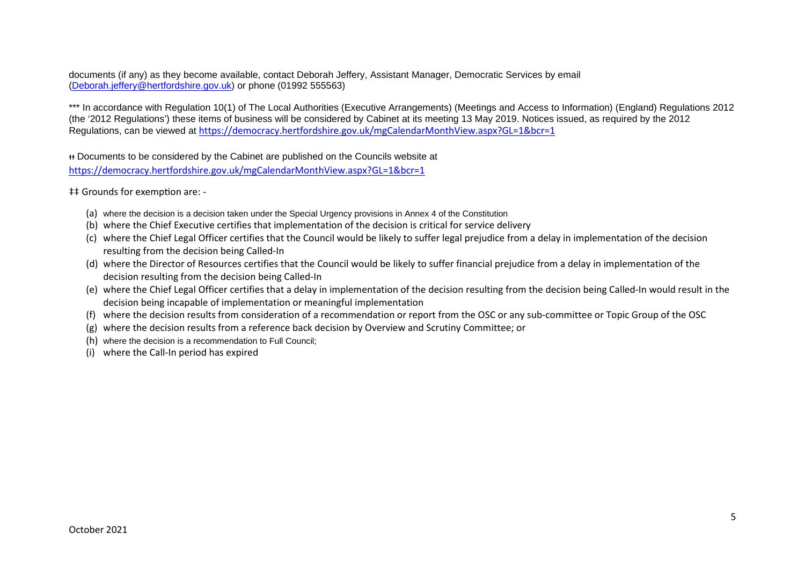documents (if any) as they become available, contact Deborah Jeffery, Assistant Manager, Democratic Services by email [\(Deborah.jeffery@hertfordshire.gov.uk\)](mailto:Deborah.jeffery@hertfordshire.gov.uk) or phone (01992 555563)

\*\*\* In accordance with Regulation 10(1) of The Local Authorities (Executive Arrangements) (Meetings and Access to Information) (England) Regulations 2012 (the '2012 Regulations') these items of business will be considered by Cabinet at its meeting 13 May 2019. Notices issued, as required by the 2012 Regulations, can be viewed at <https://democracy.hertfordshire.gov.uk/mgCalendarMonthView.aspx?GL=1&bcr=1>

ᵻᵻ Documents to be considered by the Cabinet are published on the Councils website at <https://democracy.hertfordshire.gov.uk/mgCalendarMonthView.aspx?GL=1&bcr=1>

‡‡ Grounds for exempfion are: -

- (a) where the decision is a decision taken under the Special Urgency provisions in Annex 4 of the Constitution
- (b) where the Chief Executive certifies that implementation of the decision is critical for service delivery
- (c) where the Chief Legal Officer certifies that the Council would be likely to suffer legal prejudice from a delay in implementation of the decision resulting from the decision being Called-In
- (d) where the Director of Resources certifies that the Council would be likely to suffer financial prejudice from a delay in implementation of the decision resulting from the decision being Called-In
- (e) where the Chief Legal Officer certifies that a delay in implementation of the decision resulting from the decision being Called-In would result in the decision being incapable of implementation or meaningful implementation
- (f) where the decision results from consideration of a recommendation or report from the OSC or any sub-committee or Topic Group of the OSC
- (g) where the decision results from a reference back decision by Overview and Scrutiny Committee; or
- (h) where the decision is a recommendation to Full Council;
- (i) where the Call-In period has expired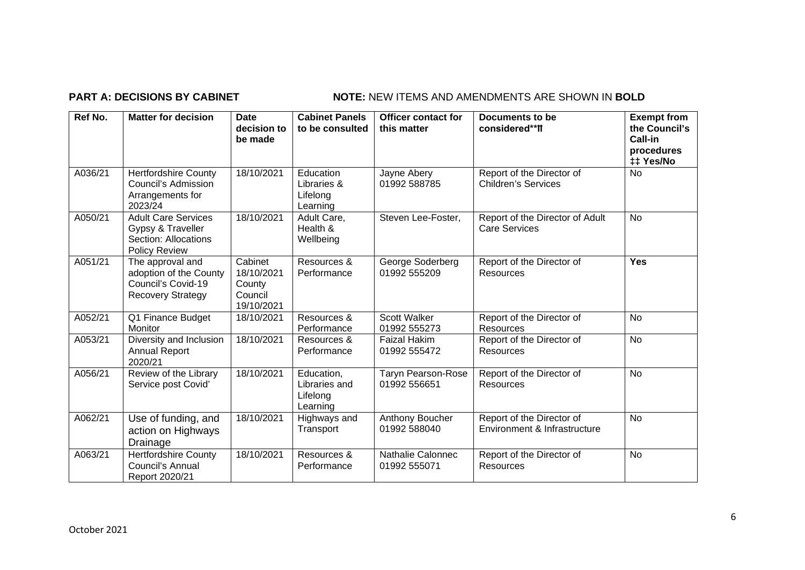# **PART A: DECISIONS BY CABINET NOTE:** NEW ITEMS AND AMENDMENTS ARE SHOWN IN BOLD

| Ref No. | <b>Matter for decision</b>                                                                      | <b>Date</b><br>decision to<br>be made                    | <b>Cabinet Panels</b><br>to be consulted            | <b>Officer contact for</b><br>this matter | Documents to be<br>considered**ff                         | <b>Exempt from</b><br>the Council's<br>Call-in<br>procedures<br>## Yes/No |
|---------|-------------------------------------------------------------------------------------------------|----------------------------------------------------------|-----------------------------------------------------|-------------------------------------------|-----------------------------------------------------------|---------------------------------------------------------------------------|
| A036/21 | <b>Hertfordshire County</b><br><b>Council's Admission</b><br>Arrangements for<br>2023/24        | 18/10/2021                                               | Education<br>Libraries &<br>Lifelong<br>Learning    | Jayne Abery<br>01992 588785               | Report of the Director of<br><b>Children's Services</b>   | No                                                                        |
| A050/21 | <b>Adult Care Services</b><br>Gypsy & Traveller<br>Section: Allocations<br><b>Policy Review</b> | 18/10/2021                                               | Adult Care,<br>Health &<br>Wellbeing                | Steven Lee-Foster,                        | Report of the Director of Adult<br><b>Care Services</b>   | <b>No</b>                                                                 |
| A051/21 | The approval and<br>adoption of the County<br>Council's Covid-19<br><b>Recovery Strategy</b>    | Cabinet<br>18/10/2021<br>County<br>Council<br>19/10/2021 | Resources &<br>Performance                          | George Soderberg<br>01992 555209          | Report of the Director of<br>Resources                    | <b>Yes</b>                                                                |
| A052/21 | Q1 Finance Budget<br>Monitor                                                                    | 18/10/2021                                               | Resources &<br>Performance                          | <b>Scott Walker</b><br>01992 555273       | Report of the Director of<br>Resources                    | <b>No</b>                                                                 |
| A053/21 | Diversity and Inclusion<br><b>Annual Report</b><br>2020/21                                      | 18/10/2021                                               | Resources &<br>Performance                          | <b>Faizal Hakim</b><br>01992 555472       | Report of the Director of<br>Resources                    | No.                                                                       |
| A056/21 | Review of the Library<br>Service post Covid'                                                    | 18/10/2021                                               | Education,<br>Libraries and<br>Lifelong<br>Learning | <b>Taryn Pearson-Rose</b><br>01992 556651 | Report of the Director of<br>Resources                    | <b>No</b>                                                                 |
| A062/21 | Use of funding, and<br>action on Highways<br>Drainage                                           | 18/10/2021                                               | Highways and<br>Transport                           | Anthony Boucher<br>01992 588040           | Report of the Director of<br>Environment & Infrastructure | N <sub>o</sub>                                                            |
| A063/21 | <b>Hertfordshire County</b><br>Council's Annual<br>Report 2020/21                               | 18/10/2021                                               | Resources &<br>Performance                          | Nathalie Calonnec<br>01992 555071         | Report of the Director of<br>Resources                    | No                                                                        |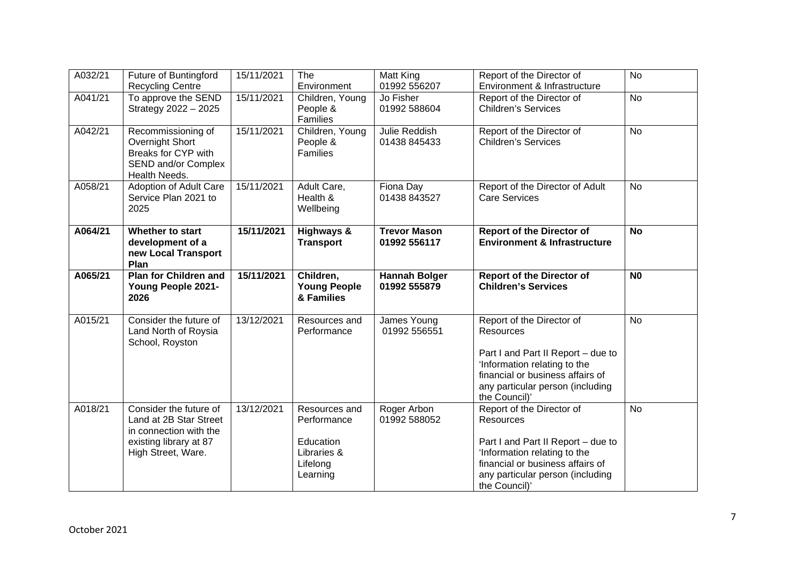| A032/21 | Future of Buntingford<br><b>Recycling Centre</b>                                                                           | 15/11/2021 | The<br>Environment                                                               | Matt King<br>01992 556207            | Report of the Director of<br>Environment & Infrastructure                                                                                                                                                    | <b>No</b>      |
|---------|----------------------------------------------------------------------------------------------------------------------------|------------|----------------------------------------------------------------------------------|--------------------------------------|--------------------------------------------------------------------------------------------------------------------------------------------------------------------------------------------------------------|----------------|
| A041/21 | To approve the SEND<br>Strategy 2022 - 2025                                                                                | 15/11/2021 | Children, Young<br>People &<br>Families                                          | Jo Fisher<br>01992 588604            | Report of the Director of<br><b>Children's Services</b>                                                                                                                                                      | <b>No</b>      |
| A042/21 | Recommissioning of<br>Overnight Short<br>Breaks for CYP with<br>SEND and/or Complex<br>Health Needs.                       | 15/11/2021 | Children, Young<br>People &<br>Families                                          | Julie Reddish<br>01438 845433        | Report of the Director of<br><b>Children's Services</b>                                                                                                                                                      | <b>No</b>      |
| A058/21 | Adoption of Adult Care<br>Service Plan 2021 to<br>2025                                                                     | 15/11/2021 | Adult Care,<br>Health &<br>Wellbeing                                             | Fiona Day<br>01438 843527            | Report of the Director of Adult<br><b>Care Services</b>                                                                                                                                                      | <b>No</b>      |
| A064/21 | Whether to start<br>development of a<br>new Local Transport<br>Plan                                                        | 15/11/2021 | <b>Highways &amp;</b><br><b>Transport</b>                                        | <b>Trevor Mason</b><br>01992 556117  | <b>Report of the Director of</b><br><b>Environment &amp; Infrastructure</b>                                                                                                                                  | <b>No</b>      |
| A065/21 | <b>Plan for Children and</b><br><b>Young People 2021-</b><br>2026                                                          | 15/11/2021 | Children,<br><b>Young People</b><br>& Families                                   | <b>Hannah Bolger</b><br>01992 555879 | <b>Report of the Director of</b><br><b>Children's Services</b>                                                                                                                                               | N <sub>0</sub> |
| A015/21 | Consider the future of<br>Land North of Roysia<br>School, Royston                                                          | 13/12/2021 | Resources and<br>Performance                                                     | James Young<br>01992 556551          | Report of the Director of<br>Resources<br>Part I and Part II Report - due to<br>'Information relating to the<br>financial or business affairs of<br>any particular person (including<br>the Council)'        | <b>No</b>      |
| A018/21 | Consider the future of<br>Land at 2B Star Street<br>in connection with the<br>existing library at 87<br>High Street, Ware. | 13/12/2021 | Resources and<br>Performance<br>Education<br>Libraries &<br>Lifelong<br>Learning | Roger Arbon<br>01992 588052          | Report of the Director of<br><b>Resources</b><br>Part I and Part II Report - due to<br>'Information relating to the<br>financial or business affairs of<br>any particular person (including<br>the Council)' | <b>No</b>      |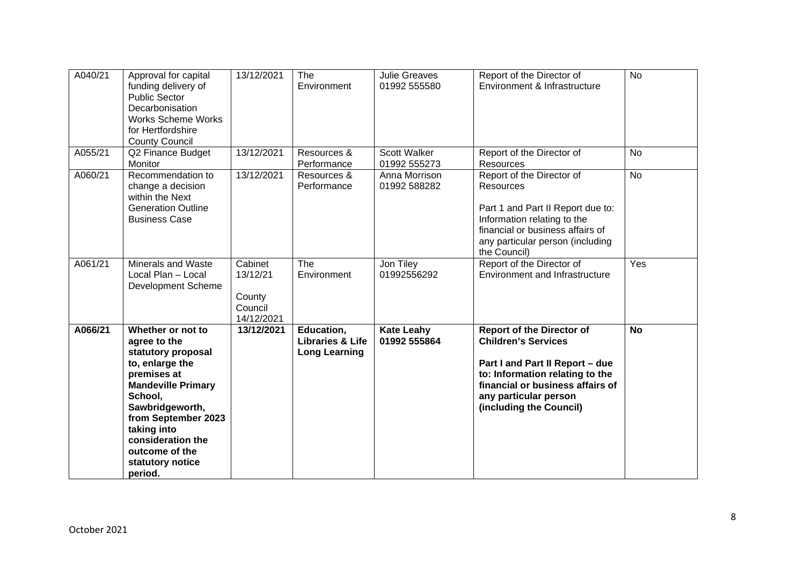| A040/21 | Approval for capital<br>funding delivery of<br><b>Public Sector</b><br>Decarbonisation<br><b>Works Scheme Works</b><br>for Hertfordshire<br><b>County Council</b>                                                                                                | 13/12/2021                                             | The<br>Environment                                                | <b>Julie Greaves</b><br>01992 555580 | Report of the Director of<br>Environment & Infrastructure                                                                                                                                                                    | <b>No</b> |
|---------|------------------------------------------------------------------------------------------------------------------------------------------------------------------------------------------------------------------------------------------------------------------|--------------------------------------------------------|-------------------------------------------------------------------|--------------------------------------|------------------------------------------------------------------------------------------------------------------------------------------------------------------------------------------------------------------------------|-----------|
| A055/21 | Q2 Finance Budget<br>Monitor                                                                                                                                                                                                                                     | 13/12/2021                                             | Resources &<br>Performance                                        | <b>Scott Walker</b><br>01992 555273  | Report of the Director of<br>Resources                                                                                                                                                                                       | <b>No</b> |
| A060/21 | Recommendation to<br>change a decision<br>within the Next<br><b>Generation Outline</b><br><b>Business Case</b>                                                                                                                                                   | 13/12/2021                                             | Resources &<br>Performance                                        | Anna Morrison<br>01992 588282        | Report of the Director of<br><b>Resources</b><br>Part 1 and Part II Report due to:<br>Information relating to the<br>financial or business affairs of<br>any particular person (including<br>the Council)                    | <b>No</b> |
| A061/21 | Minerals and Waste<br>Local Plan - Local<br>Development Scheme                                                                                                                                                                                                   | Cabinet<br>13/12/21<br>County<br>Council<br>14/12/2021 | <b>The</b><br>Environment                                         | Jon Tiley<br>01992556292             | Report of the Director of<br><b>Environment and Infrastructure</b>                                                                                                                                                           | Yes       |
| A066/21 | Whether or not to<br>agree to the<br>statutory proposal<br>to, enlarge the<br>premises at<br><b>Mandeville Primary</b><br>School,<br>Sawbridgeworth,<br>from September 2023<br>taking into<br>consideration the<br>outcome of the<br>statutory notice<br>period. | 13/12/2021                                             | Education,<br><b>Libraries &amp; Life</b><br><b>Long Learning</b> | <b>Kate Leahy</b><br>01992 555864    | <b>Report of the Director of</b><br><b>Children's Services</b><br>Part I and Part II Report - due<br>to: Information relating to the<br>financial or business affairs of<br>any particular person<br>(including the Council) | <b>No</b> |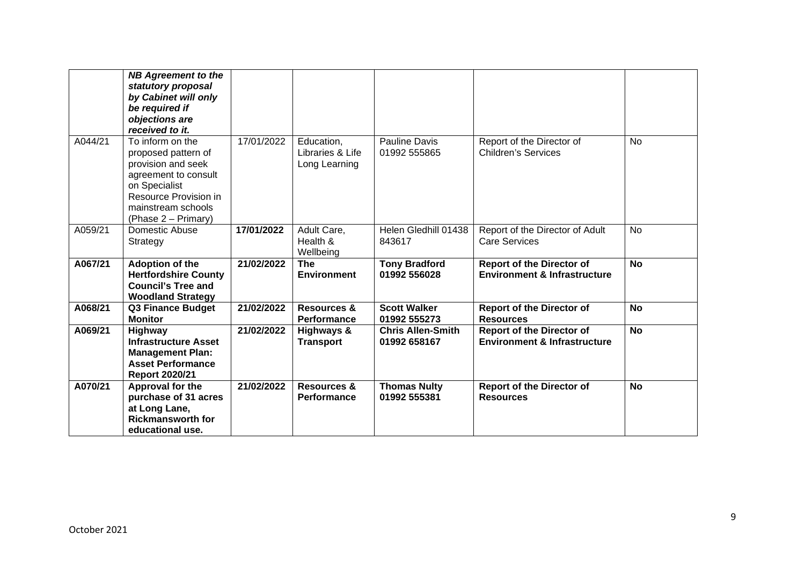|         | <b>NB Agreement to the</b><br>statutory proposal<br>by Cabinet will only<br>be required if<br>objections are<br>received to it.                                              |            |                                                 |                                          |                                                                             |           |
|---------|------------------------------------------------------------------------------------------------------------------------------------------------------------------------------|------------|-------------------------------------------------|------------------------------------------|-----------------------------------------------------------------------------|-----------|
| A044/21 | To inform on the<br>proposed pattern of<br>provision and seek<br>agreement to consult<br>on Specialist<br>Resource Provision in<br>mainstream schools<br>(Phase 2 – Primary) | 17/01/2022 | Education,<br>Libraries & Life<br>Long Learning | Pauline Davis<br>01992 555865            | Report of the Director of<br><b>Children's Services</b>                     | <b>No</b> |
| A059/21 | Domestic Abuse<br>Strategy                                                                                                                                                   | 17/01/2022 | Adult Care,<br>Health &<br>Wellbeing            | Helen Gledhill 01438<br>843617           | Report of the Director of Adult<br><b>Care Services</b>                     | <b>No</b> |
| A067/21 | <b>Adoption of the</b><br><b>Hertfordshire County</b><br><b>Council's Tree and</b><br><b>Woodland Strategy</b>                                                               | 21/02/2022 | <b>The</b><br><b>Environment</b>                | <b>Tony Bradford</b><br>01992 556028     | <b>Report of the Director of</b><br><b>Environment &amp; Infrastructure</b> | <b>No</b> |
| A068/21 | <b>Q3 Finance Budget</b><br><b>Monitor</b>                                                                                                                                   | 21/02/2022 | <b>Resources &amp;</b><br>Performance           | <b>Scott Walker</b><br>01992 555273      | <b>Report of the Director of</b><br><b>Resources</b>                        | <b>No</b> |
| A069/21 | Highway<br><b>Infrastructure Asset</b><br><b>Management Plan:</b><br><b>Asset Performance</b><br><b>Report 2020/21</b>                                                       | 21/02/2022 | Highways &<br><b>Transport</b>                  | <b>Chris Allen-Smith</b><br>01992 658167 | <b>Report of the Director of</b><br><b>Environment &amp; Infrastructure</b> | <b>No</b> |
| A070/21 | Approval for the<br>purchase of 31 acres<br>at Long Lane,<br><b>Rickmansworth for</b><br>educational use.                                                                    | 21/02/2022 | Resources &<br><b>Performance</b>               | <b>Thomas Nulty</b><br>01992 555381      | <b>Report of the Director of</b><br><b>Resources</b>                        | <b>No</b> |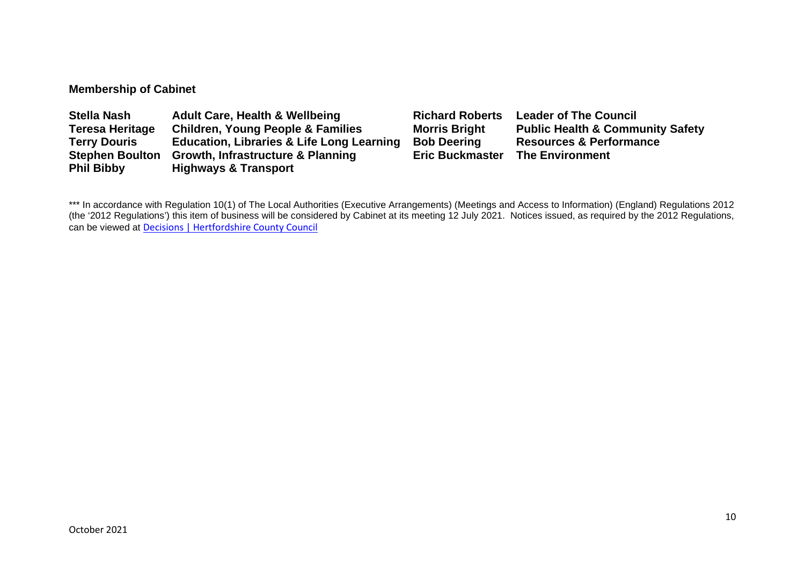## **Membership of Cabinet**

| <b>Stella Nash</b>     | <b>Adult Care, Health &amp; Wellbeing</b>            | <b>Richard Roberts</b> | <b>Leader of The Council</b>                |
|------------------------|------------------------------------------------------|------------------------|---------------------------------------------|
| <b>Teresa Heritage</b> | <b>Children, Young People &amp; Families</b>         | <b>Morris Bright</b>   | <b>Public Health &amp; Community Safety</b> |
| <b>Terry Douris</b>    | <b>Education, Libraries &amp; Life Long Learning</b> | <b>Bob Deering</b>     | <b>Resources &amp; Performance</b>          |
| <b>Stephen Boulton</b> | <b>Growth, Infrastructure &amp; Planning</b>         | <b>Eric Buckmaster</b> | <b>The Environment</b>                      |
| <b>Phil Bibby</b>      | <b>Highways &amp; Transport</b>                      |                        |                                             |

\*\*\* In accordance with Regulation 10(1) of The Local Authorities (Executive Arrangements) (Meetings and Access to Information) (England) Regulations 2012 (the '2012 Regulations') this item of business will be considered by Cabinet at its meeting 12 July 2021. Notices issued, as required by the 2012 Regulations, can be viewed at [Decisions | Hertfordshire County Council](https://www.hertfordshire.gov.uk/About-the-council/freedom-of-information-and-council-data/Open-Data-Statistics-about-Hertfordshire/How-we-make-decisions/Decisions/Decisions.aspx#keydecisions)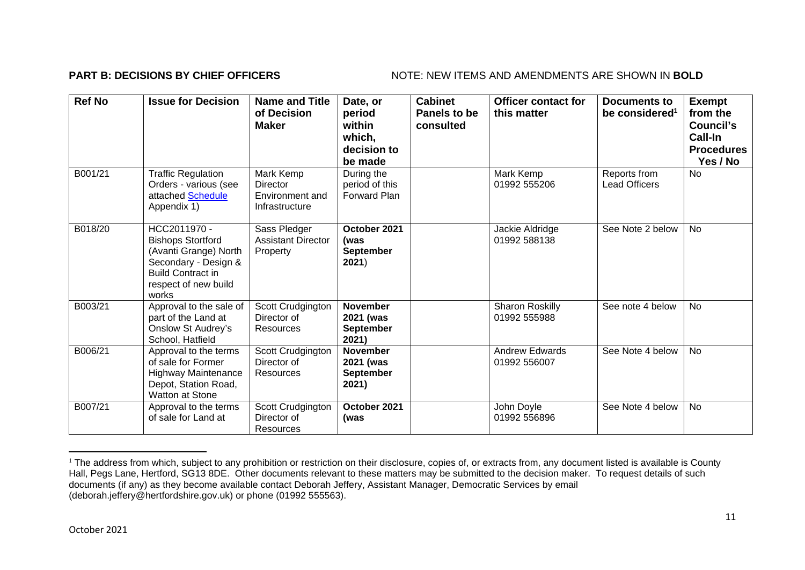## **PART B: DECISIONS BY CHIEF OFFICERS** NOTE: NEW ITEMS AND AMENDMENTS ARE SHOWN IN BOLD

| <b>Ref No</b> | <b>Issue for Decision</b>                                                                                                                              | <b>Name and Title</b><br>of Decision<br><b>Maker</b>       | Date, or<br>period<br>within<br>which,<br>decision to<br>be made | <b>Cabinet</b><br>Panels to be<br>consulted | <b>Officer contact for</b><br>this matter | <b>Documents to</b><br>be considered <sup>1</sup> | <b>Exempt</b><br>from the<br><b>Council's</b><br><b>Call-In</b><br><b>Procedures</b><br>Yes / No |
|---------------|--------------------------------------------------------------------------------------------------------------------------------------------------------|------------------------------------------------------------|------------------------------------------------------------------|---------------------------------------------|-------------------------------------------|---------------------------------------------------|--------------------------------------------------------------------------------------------------|
| B001/21       | <b>Traffic Regulation</b><br>Orders - various (see<br>attached Schedule<br>Appendix 1)                                                                 | Mark Kemp<br>Director<br>Environment and<br>Infrastructure | During the<br>period of this<br><b>Forward Plan</b>              |                                             | Mark Kemp<br>01992 555206                 | Reports from<br><b>Lead Officers</b>              | <b>No</b>                                                                                        |
| B018/20       | HCC2011970 -<br><b>Bishops Stortford</b><br>(Avanti Grange) North<br>Secondary - Design &<br><b>Build Contract in</b><br>respect of new build<br>works | Sass Pledger<br><b>Assistant Director</b><br>Property      | October 2021<br>(was<br><b>September</b><br>2021)                |                                             | Jackie Aldridge<br>01992 588138           | See Note 2 below                                  | <b>No</b>                                                                                        |
| B003/21       | Approval to the sale of<br>part of the Land at<br>Onslow St Audrey's<br>School, Hatfield                                                               | Scott Crudgington<br>Director of<br>Resources              | <b>November</b><br>2021 (was<br>September<br>2021)               |                                             | Sharon Roskilly<br>01992 555988           | See note 4 below                                  | <b>No</b>                                                                                        |
| B006/21       | Approval to the terms<br>of sale for Former<br><b>Highway Maintenance</b><br>Depot, Station Road,<br><b>Watton at Stone</b>                            | Scott Crudgington<br>Director of<br>Resources              | <b>November</b><br>2021 (was<br><b>September</b><br>2021)        |                                             | <b>Andrew Edwards</b><br>01992 556007     | See Note 4 below                                  | No                                                                                               |
| B007/21       | Approval to the terms<br>of sale for Land at                                                                                                           | Scott Crudgington<br>Director of<br>Resources              | October 2021<br>(was                                             |                                             | John Doyle<br>01992 556896                | See Note 4 below                                  | <b>No</b>                                                                                        |

<sup>&</sup>lt;sup>1</sup> The address from which, subject to any prohibition or restriction on their disclosure, copies of, or extracts from, any document listed is available is County Hall, Pegs Lane, Hertford, SG13 8DE. Other documents relevant to these matters may be submitted to the decision maker. To request details of such documents (if any) as they become available contact Deborah Jeffery, Assistant Manager, Democratic Services by email (deborah.jeffery@hertfordshire.gov.uk) or phone (01992 555563).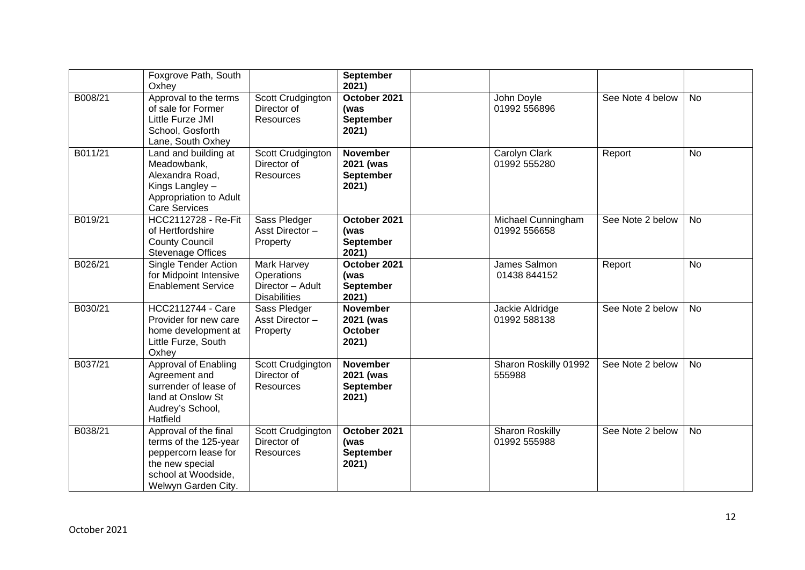|         | Foxgrove Path, South<br>Oxhey                                                                                                           |                                                                      | <b>September</b><br>2021)                                 |                                        |                  |           |
|---------|-----------------------------------------------------------------------------------------------------------------------------------------|----------------------------------------------------------------------|-----------------------------------------------------------|----------------------------------------|------------------|-----------|
| B008/21 | Approval to the terms<br>of sale for Former<br>Little Furze JMI<br>School, Gosforth<br>Lane, South Oxhey                                | Scott Crudgington<br>Director of<br><b>Resources</b>                 | October 2021<br>(was<br><b>September</b><br>2021)         | John Doyle<br>01992 556896             | See Note 4 below | <b>No</b> |
| B011/21 | Land and building at<br>Meadowbank,<br>Alexandra Road,<br>Kings Langley -<br>Appropriation to Adult<br><b>Care Services</b>             | Scott Crudgington<br>Director of<br>Resources                        | <b>November</b><br>2021 (was<br><b>September</b><br>2021) | Carolyn Clark<br>01992 555280          | Report           | No        |
| B019/21 | <b>HCC2112728 - Re-Fit</b><br>of Hertfordshire<br><b>County Council</b><br><b>Stevenage Offices</b>                                     | Sass Pledger<br>Asst Director-<br>Property                           | October 2021<br>(was<br><b>September</b><br>2021)         | Michael Cunningham<br>01992 556658     | See Note 2 below | <b>No</b> |
| B026/21 | Single Tender Action<br>for Midpoint Intensive<br><b>Enablement Service</b>                                                             | Mark Harvey<br>Operations<br>Director - Adult<br><b>Disabilities</b> | October 2021<br>(was<br><b>September</b><br>2021)         | James Salmon<br>01438 844152           | Report           | <b>No</b> |
| B030/21 | <b>HCC2112744 - Care</b><br>Provider for new care<br>home development at<br>Little Furze, South<br>Oxhey                                | Sass Pledger<br>Asst Director-<br>Property                           | <b>November</b><br>2021 (was<br><b>October</b><br>2021)   | Jackie Aldridge<br>01992 588138        | See Note 2 below | <b>No</b> |
| B037/21 | Approval of Enabling<br>Agreement and<br>surrender of lease of<br>land at Onslow St<br>Audrey's School,<br>Hatfield                     | Scott Crudgington<br>Director of<br><b>Resources</b>                 | <b>November</b><br>2021 (was<br>September<br>2021)        | Sharon Roskilly 01992<br>555988        | See Note 2 below | <b>No</b> |
| B038/21 | Approval of the final<br>terms of the 125-year<br>peppercorn lease for<br>the new special<br>school at Woodside,<br>Welwyn Garden City. | Scott Crudgington<br>Director of<br>Resources                        | October 2021<br>(was<br><b>September</b><br>2021)         | <b>Sharon Roskilly</b><br>01992 555988 | See Note 2 below | <b>No</b> |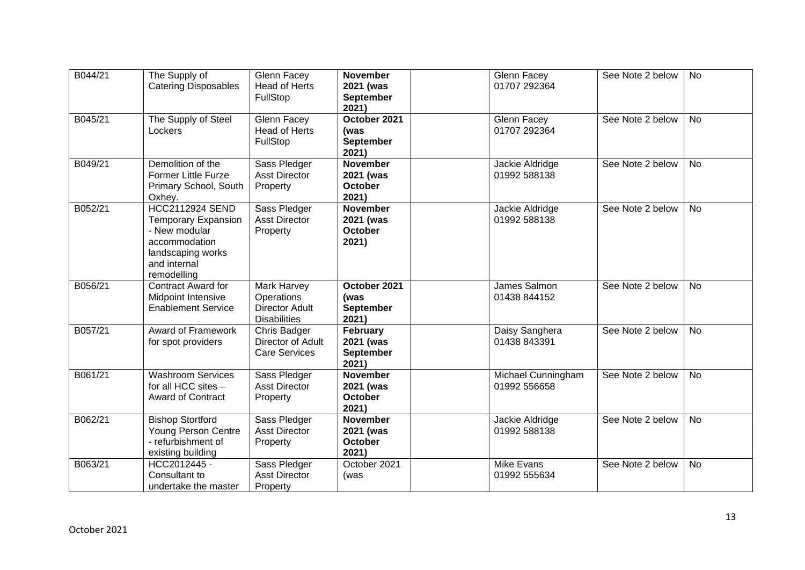| B044/21 | The Supply of<br><b>Catering Disposables</b>                                                                                               | Glenn Facey<br><b>Head of Herts</b><br>FullStop                           | <b>November</b><br>2021 (was<br>September<br>2021)      | Glenn Facey<br>01707 292364        | See Note 2 below | <b>No</b> |
|---------|--------------------------------------------------------------------------------------------------------------------------------------------|---------------------------------------------------------------------------|---------------------------------------------------------|------------------------------------|------------------|-----------|
| B045/21 | The Supply of Steel<br>Lockers                                                                                                             | Glenn Facey<br>Head of Herts<br>FullStop                                  | October 2021<br>(was<br><b>September</b><br>2021)       | Glenn Facey<br>01707 292364        | See Note 2 below | <b>No</b> |
| B049/21 | Demolition of the<br><b>Former Little Furze</b><br>Primary School, South<br>Oxhey.                                                         | Sass Pledger<br><b>Asst Director</b><br>Property                          | <b>November</b><br>2021 (was<br><b>October</b><br>2021) | Jackie Aldridge<br>01992 588138    | See Note 2 below | <b>No</b> |
| B052/21 | <b>HCC2112924 SEND</b><br><b>Temporary Expansion</b><br>- New modular<br>accommodation<br>landscaping works<br>and internal<br>remodelling | Sass Pledger<br><b>Asst Director</b><br>Property                          | <b>November</b><br>2021 (was<br><b>October</b><br>2021) | Jackie Aldridge<br>01992 588138    | See Note 2 below | <b>No</b> |
| B056/21 | Contract Award for<br>Midpoint Intensive<br><b>Enablement Service</b>                                                                      | Mark Harvey<br>Operations<br><b>Director Adult</b><br><b>Disabilities</b> | October 2021<br>(was<br><b>September</b><br>2021)       | James Salmon<br>01438 844152       | See Note 2 below | <b>No</b> |
| B057/21 | <b>Award of Framework</b><br>for spot providers                                                                                            | <b>Chris Badger</b><br>Director of Adult<br><b>Care Services</b>          | February<br>2021 (was<br><b>September</b><br>2021)      | Daisy Sanghera<br>01438 843391     | See Note 2 below | No        |
| B061/21 | <b>Washroom Services</b><br>for all HCC sites -<br><b>Award of Contract</b>                                                                | Sass Pledger<br><b>Asst Director</b><br>Property                          | <b>November</b><br>2021 (was<br><b>October</b><br>2021) | Michael Cunningham<br>01992 556658 | See Note 2 below | <b>No</b> |
| B062/21 | <b>Bishop Stortford</b><br>Young Person Centre<br>- refurbishment of<br>existing building                                                  | Sass Pledger<br><b>Asst Director</b><br>Property                          | <b>November</b><br>2021 (was<br><b>October</b><br>2021) | Jackie Aldridge<br>01992 588138    | See Note 2 below | <b>No</b> |
| B063/21 | HCC2012445 -<br>Consultant to<br>undertake the master                                                                                      | Sass Pledger<br><b>Asst Director</b><br>Property                          | October 2021<br>(was                                    | <b>Mike Evans</b><br>01992 555634  | See Note 2 below | <b>No</b> |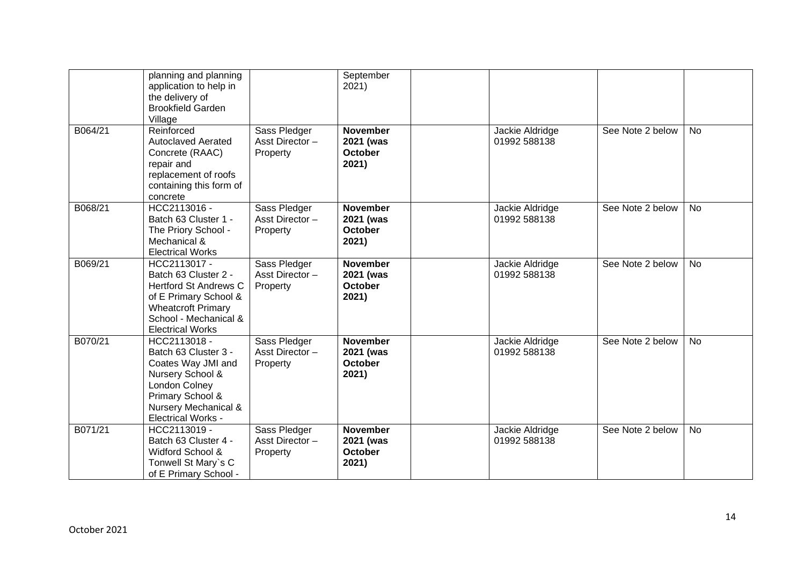|         | planning and planning<br>application to help in<br>the delivery of<br><b>Brookfield Garden</b><br>Village                                                                      |                                            | September<br>2021)                                      |                                 |                  |           |
|---------|--------------------------------------------------------------------------------------------------------------------------------------------------------------------------------|--------------------------------------------|---------------------------------------------------------|---------------------------------|------------------|-----------|
| B064/21 | Reinforced<br><b>Autoclaved Aerated</b><br>Concrete (RAAC)<br>repair and<br>replacement of roofs<br>containing this form of<br>concrete                                        | Sass Pledger<br>Asst Director-<br>Property | <b>November</b><br>2021 (was<br>October<br>2021)        | Jackie Aldridge<br>01992 588138 | See Note 2 below | <b>No</b> |
| B068/21 | HCC2113016 -<br>Batch 63 Cluster 1 -<br>The Priory School -<br>Mechanical &<br><b>Electrical Works</b>                                                                         | Sass Pledger<br>Asst Director-<br>Property | <b>November</b><br>2021 (was<br><b>October</b><br>2021) | Jackie Aldridge<br>01992 588138 | See Note 2 below | <b>No</b> |
| B069/21 | HCC2113017 -<br>Batch 63 Cluster 2 -<br><b>Hertford St Andrews C</b><br>of E Primary School &<br><b>Wheatcroft Primary</b><br>School - Mechanical &<br><b>Electrical Works</b> | Sass Pledger<br>Asst Director-<br>Property | <b>November</b><br>2021 (was<br><b>October</b><br>2021) | Jackie Aldridge<br>01992 588138 | See Note 2 below | <b>No</b> |
| B070/21 | HCC2113018 -<br>Batch 63 Cluster 3 -<br>Coates Way JMI and<br>Nursery School &<br>London Colney<br>Primary School &<br>Nursery Mechanical &<br><b>Electrical Works -</b>       | Sass Pledger<br>Asst Director-<br>Property | <b>November</b><br>2021 (was<br><b>October</b><br>2021) | Jackie Aldridge<br>01992 588138 | See Note 2 below | <b>No</b> |
| B071/21 | HCC2113019 -<br>Batch 63 Cluster 4 -<br>Widford School &<br>Tonwell St Mary's C<br>of E Primary School -                                                                       | Sass Pledger<br>Asst Director-<br>Property | <b>November</b><br>2021 (was<br><b>October</b><br>2021) | Jackie Aldridge<br>01992 588138 | See Note 2 below | <b>No</b> |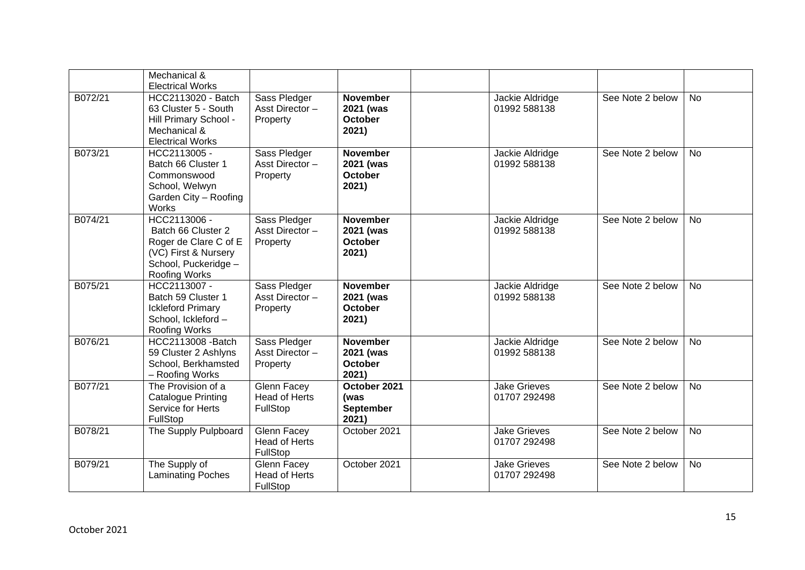|         | Mechanical &<br><b>Electrical Works</b>                                                                                      |                                                 |                                                         |                                     |                  |           |
|---------|------------------------------------------------------------------------------------------------------------------------------|-------------------------------------------------|---------------------------------------------------------|-------------------------------------|------------------|-----------|
| B072/21 | HCC2113020 - Batch<br>63 Cluster 5 - South<br>Hill Primary School -<br>Mechanical &<br><b>Electrical Works</b>               | Sass Pledger<br>Asst Director-<br>Property      | <b>November</b><br>2021 (was<br><b>October</b><br>2021) | Jackie Aldridge<br>01992 588138     | See Note 2 below | <b>No</b> |
| B073/21 | HCC2113005 -<br>Batch 66 Cluster 1<br>Commonswood<br>School, Welwyn<br>Garden City - Roofing<br>Works                        | Sass Pledger<br>Asst Director-<br>Property      | <b>November</b><br>2021 (was<br><b>October</b><br>2021) | Jackie Aldridge<br>01992 588138     | See Note 2 below | <b>No</b> |
| B074/21 | HCC2113006 -<br>Batch 66 Cluster 2<br>Roger de Clare C of E<br>(VC) First & Nursery<br>School, Puckeridge -<br>Roofing Works | Sass Pledger<br>Asst Director-<br>Property      | <b>November</b><br>2021 (was<br><b>October</b><br>2021) | Jackie Aldridge<br>01992 588138     | See Note 2 below | <b>No</b> |
| B075/21 | HCC2113007 -<br>Batch 59 Cluster 1<br><b>Ickleford Primary</b><br>School, Ickleford-<br>Roofing Works                        | Sass Pledger<br>Asst Director-<br>Property      | <b>November</b><br>2021 (was<br><b>October</b><br>2021) | Jackie Aldridge<br>01992 588138     | See Note 2 below | <b>No</b> |
| B076/21 | HCC2113008 - Batch<br>59 Cluster 2 Ashlyns<br>School, Berkhamsted<br>- Roofing Works                                         | Sass Pledger<br>Asst Director-<br>Property      | <b>November</b><br>2021 (was<br><b>October</b><br>2021) | Jackie Aldridge<br>01992 588138     | See Note 2 below | <b>No</b> |
| B077/21 | The Provision of a<br><b>Catalogue Printing</b><br>Service for Herts<br>FullStop                                             | Glenn Facey<br><b>Head of Herts</b><br>FullStop | October 2021<br>(was<br>September<br>2021)              | <b>Jake Grieves</b><br>01707 292498 | See Note 2 below | <b>No</b> |
| B078/21 | The Supply Pulpboard                                                                                                         | Glenn Facey<br><b>Head of Herts</b><br>FullStop | October 2021                                            | <b>Jake Grieves</b><br>01707 292498 | See Note 2 below | <b>No</b> |
| B079/21 | The Supply of<br><b>Laminating Poches</b>                                                                                    | Glenn Facey<br><b>Head of Herts</b><br>FullStop | October 2021                                            | <b>Jake Grieves</b><br>01707 292498 | See Note 2 below | <b>No</b> |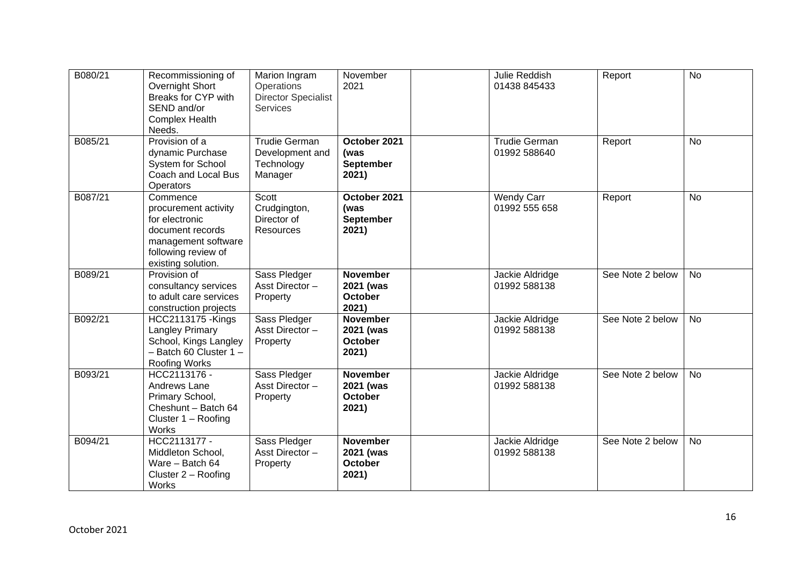| B080/21 | Recommissioning of<br>Overnight Short<br>Breaks for CYP with<br>SEND and/or<br><b>Complex Health</b><br>Needs.                             | Marion Ingram<br>Operations<br><b>Director Specialist</b><br><b>Services</b> | November<br>2021                                        | Julie Reddish<br>01438 845433        | Report           | <b>No</b> |
|---------|--------------------------------------------------------------------------------------------------------------------------------------------|------------------------------------------------------------------------------|---------------------------------------------------------|--------------------------------------|------------------|-----------|
| B085/21 | Provision of a<br>dynamic Purchase<br>System for School<br>Coach and Local Bus<br>Operators                                                | <b>Trudie German</b><br>Development and<br>Technology<br>Manager             | October 2021<br>(was<br><b>September</b><br>2021)       | <b>Trudie German</b><br>01992 588640 | Report           | <b>No</b> |
| B087/21 | Commence<br>procurement activity<br>for electronic<br>document records<br>management software<br>following review of<br>existing solution. | Scott<br>Crudgington,<br>Director of<br>Resources                            | October 2021<br>(was<br><b>September</b><br>2021)       | <b>Wendy Carr</b><br>01992 555 658   | Report           | <b>No</b> |
| B089/21 | Provision of<br>consultancy services<br>to adult care services<br>construction projects                                                    | Sass Pledger<br>Asst Director-<br>Property                                   | <b>November</b><br>2021 (was<br><b>October</b><br>2021) | Jackie Aldridge<br>01992 588138      | See Note 2 below | No        |
| B092/21 | <b>HCC2113175 -Kings</b><br>Langley Primary<br>School, Kings Langley<br>$-$ Batch 60 Cluster 1 $-$<br><b>Roofing Works</b>                 | Sass Pledger<br>Asst Director-<br>Property                                   | <b>November</b><br>2021 (was<br><b>October</b><br>2021) | Jackie Aldridge<br>01992 588138      | See Note 2 below | <b>No</b> |
| B093/21 | HCC2113176 -<br>Andrews Lane<br>Primary School,<br>Cheshunt - Batch 64<br>Cluster $1 -$ Roofing<br>Works                                   | Sass Pledger<br>Asst Director-<br>Property                                   | <b>November</b><br>2021 (was<br><b>October</b><br>2021) | Jackie Aldridge<br>01992 588138      | See Note 2 below | <b>No</b> |
| B094/21 | HCC2113177 -<br>Middleton School,<br>Ware - Batch 64<br>Cluster 2 - Roofing<br>Works                                                       | Sass Pledger<br>Asst Director-<br>Property                                   | <b>November</b><br>2021 (was<br><b>October</b><br>2021) | Jackie Aldridge<br>01992 588138      | See Note 2 below | No        |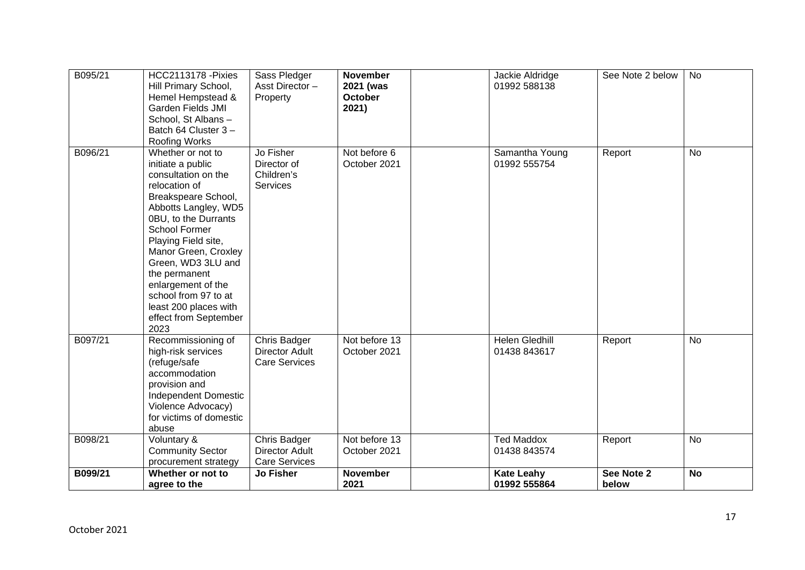| B095/21 | <b>HCC2113178 - Pixies</b><br>Hill Primary School,<br>Hemel Hempstead &<br><b>Garden Fields JMI</b><br>School, St Albans-<br>Batch 64 Cluster 3-<br>Roofing Works                                                                                                                                                                                                    | Sass Pledger<br>Asst Director-<br>Property                    | <b>November</b><br>2021 (was<br><b>October</b><br>2021) | Jackie Aldridge<br>01992 588138   | See Note 2 below    | <b>No</b> |
|---------|----------------------------------------------------------------------------------------------------------------------------------------------------------------------------------------------------------------------------------------------------------------------------------------------------------------------------------------------------------------------|---------------------------------------------------------------|---------------------------------------------------------|-----------------------------------|---------------------|-----------|
| B096/21 | Whether or not to<br>initiate a public<br>consultation on the<br>relocation of<br>Breakspeare School,<br>Abbotts Langley, WD5<br>0BU, to the Durrants<br>School Former<br>Playing Field site,<br>Manor Green, Croxley<br>Green, WD3 3LU and<br>the permanent<br>enlargement of the<br>school from 97 to at<br>least 200 places with<br>effect from September<br>2023 | Jo Fisher<br>Director of<br>Children's<br>Services            | Not before 6<br>October 2021                            | Samantha Young<br>01992 555754    | Report              | <b>No</b> |
| B097/21 | Recommissioning of<br>high-risk services<br>(refuge/safe<br>accommodation<br>provision and<br><b>Independent Domestic</b><br>Violence Advocacy)<br>for victims of domestic<br>abuse                                                                                                                                                                                  | Chris Badger<br><b>Director Adult</b><br><b>Care Services</b> | Not before 13<br>October 2021                           | Helen Gledhill<br>01438 843617    | Report              | <b>No</b> |
| B098/21 | Voluntary &<br><b>Community Sector</b><br>procurement strategy                                                                                                                                                                                                                                                                                                       | Chris Badger<br><b>Director Adult</b><br><b>Care Services</b> | Not before 13<br>October 2021                           | <b>Ted Maddox</b><br>01438 843574 | Report              | <b>No</b> |
| B099/21 | Whether or not to<br>agree to the                                                                                                                                                                                                                                                                                                                                    | <b>Jo Fisher</b>                                              | <b>November</b><br>2021                                 | <b>Kate Leahy</b><br>01992 555864 | See Note 2<br>below | <b>No</b> |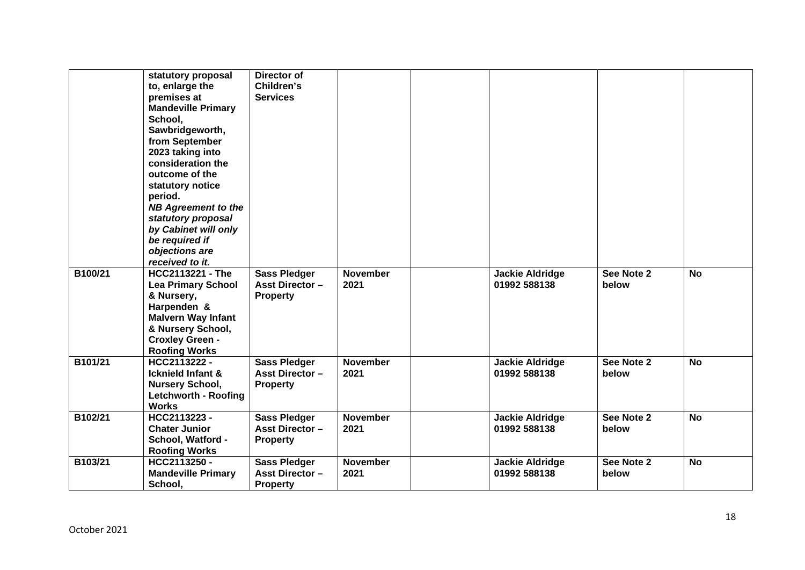|         | statutory proposal<br>to, enlarge the | Director of<br>Children's |                 |                        |            |           |
|---------|---------------------------------------|---------------------------|-----------------|------------------------|------------|-----------|
|         | premises at                           | <b>Services</b>           |                 |                        |            |           |
|         | <b>Mandeville Primary</b>             |                           |                 |                        |            |           |
|         | School,                               |                           |                 |                        |            |           |
|         | Sawbridgeworth,                       |                           |                 |                        |            |           |
|         | from September                        |                           |                 |                        |            |           |
|         | 2023 taking into                      |                           |                 |                        |            |           |
|         | consideration the                     |                           |                 |                        |            |           |
|         | outcome of the                        |                           |                 |                        |            |           |
|         | statutory notice                      |                           |                 |                        |            |           |
|         | period.                               |                           |                 |                        |            |           |
|         | <b>NB Agreement to the</b>            |                           |                 |                        |            |           |
|         | statutory proposal                    |                           |                 |                        |            |           |
|         | by Cabinet will only                  |                           |                 |                        |            |           |
|         | be required if                        |                           |                 |                        |            |           |
|         | objections are                        |                           |                 |                        |            |           |
|         | received to it.                       |                           |                 |                        |            |           |
| B100/21 | <b>HCC2113221 - The</b>               | <b>Sass Pledger</b>       | <b>November</b> | <b>Jackie Aldridge</b> | See Note 2 | <b>No</b> |
|         | <b>Lea Primary School</b>             | <b>Asst Director -</b>    | 2021            | 01992 588138           | below      |           |
|         | & Nursery,                            | <b>Property</b>           |                 |                        |            |           |
|         | Harpenden &                           |                           |                 |                        |            |           |
|         | <b>Malvern Way Infant</b>             |                           |                 |                        |            |           |
|         | & Nursery School,                     |                           |                 |                        |            |           |
|         | <b>Croxley Green -</b>                |                           |                 |                        |            |           |
|         | <b>Roofing Works</b>                  |                           |                 |                        |            |           |
| B101/21 | HCC2113222 -                          | <b>Sass Pledger</b>       | <b>November</b> | Jackie Aldridge        | See Note 2 | <b>No</b> |
|         | Icknield Infant &                     | <b>Asst Director -</b>    | 2021            | 01992 588138           | below      |           |
|         | <b>Nursery School,</b>                | <b>Property</b>           |                 |                        |            |           |
|         | <b>Letchworth - Roofing</b>           |                           |                 |                        |            |           |
|         | <b>Works</b>                          |                           |                 |                        |            |           |
| B102/21 | HCC2113223-                           | <b>Sass Pledger</b>       | <b>November</b> | <b>Jackie Aldridge</b> | See Note 2 | <b>No</b> |
|         | <b>Chater Junior</b>                  | <b>Asst Director -</b>    | 2021            | 01992 588138           | below      |           |
|         | School, Watford -                     | <b>Property</b>           |                 |                        |            |           |
|         | <b>Roofing Works</b>                  |                           |                 |                        |            |           |
| B103/21 | HCC2113250 -                          | <b>Sass Pledger</b>       | <b>November</b> | <b>Jackie Aldridge</b> | See Note 2 | <b>No</b> |
|         | <b>Mandeville Primary</b>             | <b>Asst Director -</b>    | 2021            | 01992 588138           | below      |           |
|         | School,                               | <b>Property</b>           |                 |                        |            |           |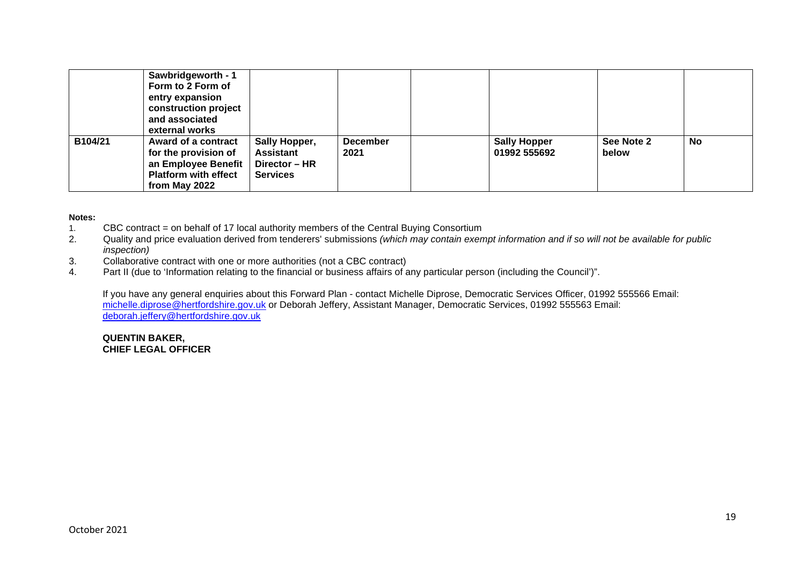|         | Sawbridgeworth - 1<br>Form to 2 Form of<br>entry expansion<br>construction project<br>and associated<br>external works |                                                                |                         |                                     |                     |           |
|---------|------------------------------------------------------------------------------------------------------------------------|----------------------------------------------------------------|-------------------------|-------------------------------------|---------------------|-----------|
| B104/21 | Award of a contract<br>for the provision of<br>an Employee Benefit<br><b>Platform with effect</b><br>from May 2022     | Sally Hopper,<br>Assistant<br>Director - HR<br><b>Services</b> | <b>December</b><br>2021 | <b>Sally Hopper</b><br>01992 555692 | See Note 2<br>below | <b>No</b> |

#### **Notes:**

- 1. CBC contract = on behalf of 17 local authority members of the Central Buying Consortium
- 2. Quality and price evaluation derived from tenderers' submissions *(which may contain exempt information and if so will not be available for public inspection)*
- 3. Collaborative contract with one or more authorities (not a CBC contract)
- 4. Part II (due to 'Information relating to the financial or business affairs of any particular person (including the Council')".

If you have any general enquiries about this Forward Plan - contact Michelle Diprose, Democratic Services Officer, 01992 555566 Email: [michelle.diprose@hertfordshire.gov.uk](mailto:michelle.diprose@hertfordshire.gov.uk) or Deborah Jeffery, Assistant Manager, Democratic Services, 01992 555563 Email: [deborah.jeffery@hertfordshire.gov.uk](mailto:deborah.jeffery@hertfordshire.gov.uk)

### **QUENTIN BAKER, CHIEF LEGAL OFFICER**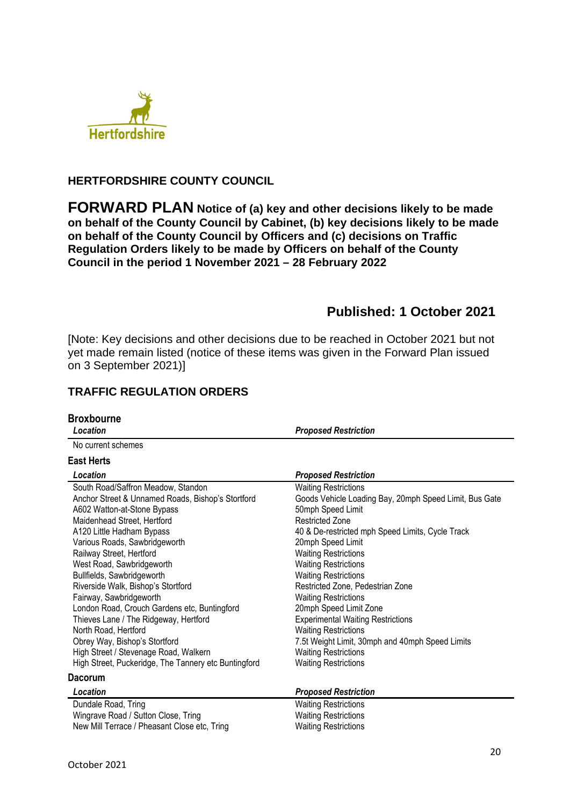

## **HERTFORDSHIRE COUNTY COUNCIL**

**FORWARD PLAN Notice of (a) key and other decisions likely to be made on behalf of the County Council by Cabinet, (b) key decisions likely to be made on behalf of the County Council by Officers and (c) decisions on Traffic Regulation Orders likely to be made by Officers on behalf of the County Council in the period 1 November 2021 – 28 February 2022** 

# **Published: 1 October 2021**

[Note: Key decisions and other decisions due to be reached in October 2021 but not yet made remain listed (notice of these items was given in the Forward Plan issued on 3 September 2021)]

# **TRAFFIC REGULATION ORDERS**

| <b>Broxbourne</b><br>Location                        | <b>Proposed Restriction</b>                            |
|------------------------------------------------------|--------------------------------------------------------|
| No current schemes                                   |                                                        |
|                                                      |                                                        |
| <b>East Herts</b>                                    |                                                        |
| Location                                             | <b>Proposed Restriction</b>                            |
| South Road/Saffron Meadow, Standon                   | <b>Waiting Restrictions</b>                            |
| Anchor Street & Unnamed Roads, Bishop's Stortford    | Goods Vehicle Loading Bay, 20mph Speed Limit, Bus Gate |
| A602 Watton-at-Stone Bypass                          | 50mph Speed Limit                                      |
| Maidenhead Street, Hertford                          | <b>Restricted Zone</b>                                 |
| A120 Little Hadham Bypass                            | 40 & De-restricted mph Speed Limits, Cycle Track       |
| Various Roads, Sawbridgeworth                        | 20mph Speed Limit                                      |
| Railway Street, Hertford                             | <b>Waiting Restrictions</b>                            |
| West Road, Sawbridgeworth                            | <b>Waiting Restrictions</b>                            |
| Bullfields, Sawbridgeworth                           | <b>Waiting Restrictions</b>                            |
| Riverside Walk, Bishop's Stortford                   | Restricted Zone, Pedestrian Zone                       |
| Fairway, Sawbridgeworth                              | <b>Waiting Restrictions</b>                            |
| London Road, Crouch Gardens etc, Buntingford         | 20mph Speed Limit Zone                                 |
| Thieves Lane / The Ridgeway, Hertford                | <b>Experimental Waiting Restrictions</b>               |
| North Road, Hertford                                 | <b>Waiting Restrictions</b>                            |
| Obrey Way, Bishop's Stortford                        | 7.5t Weight Limit, 30mph and 40mph Speed Limits        |
| High Street / Stevenage Road, Walkern                | <b>Waiting Restrictions</b>                            |
| High Street, Puckeridge, The Tannery etc Buntingford | <b>Waiting Restrictions</b>                            |
| <b>Dacorum</b>                                       |                                                        |
| Location                                             | <b>Proposed Restriction</b>                            |
| Dundale Road, Tring                                  | <b>Waiting Restrictions</b>                            |
| Wingrave Road / Sutton Close, Tring                  | <b>Waiting Restrictions</b>                            |
| New Mill Terrace / Pheasant Close etc, Tring         | <b>Waiting Restrictions</b>                            |
|                                                      |                                                        |